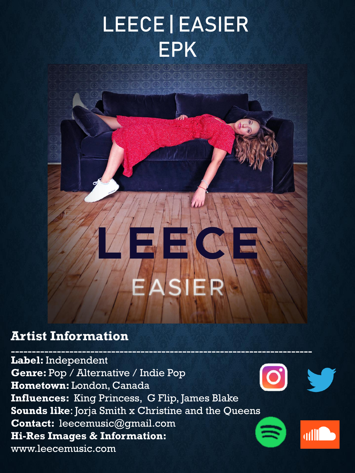## LEECE | EASIER EPK

## **Artist Information**

 $-1.11\pm0.11$  ,  $-1.11\pm0.11$  ,  $-1.11\pm0.11$  ,  $-1.11\pm0.11$  ,  $-1.11\pm0.11$  ,  $-1.11\pm0.11$  ,  $-1.11\pm0.11$ **Label:** Independent **Genre:** Pop / Alternative / Indie Pop **Hometown:** London, Canada **Influences:** King Princess, G Flip, James Blake **Sounds like**: Jorja Smith x Christine and the Qu[eens](https://open.spotify.com/album/7nQJI01iGKxrn4juxGT7et)  **Contact:** leecemusic@gmail.com **dilling Hi-Res Images & Information:** www.leecemusic.com